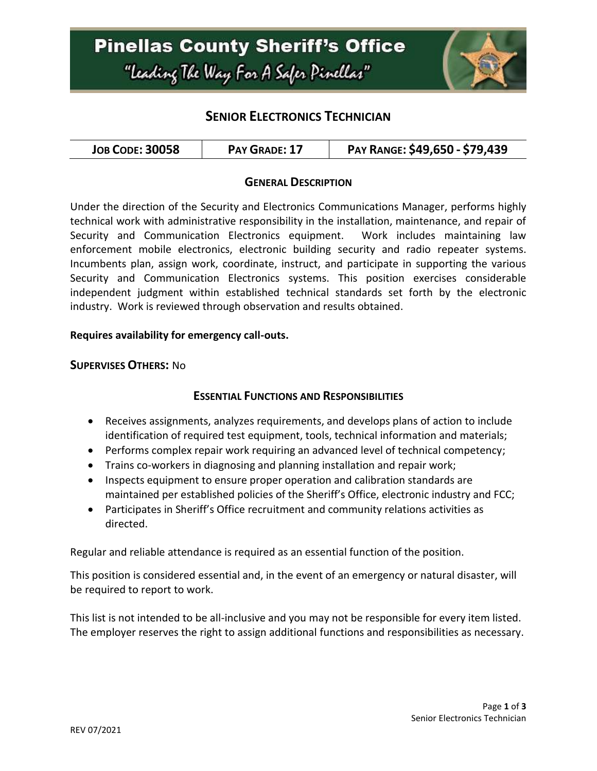

## **SENIOR ELECTRONICS TECHNICIAN**

### **GENERAL DESCRIPTION**

Under the direction of the Security and Electronics Communications Manager, performs highly technical work with administrative responsibility in the installation, maintenance, and repair of Security and Communication Electronics equipment. Work includes maintaining law enforcement mobile electronics, electronic building security and radio repeater systems. Incumbents plan, assign work, coordinate, instruct, and participate in supporting the various Security and Communication Electronics systems. This position exercises considerable independent judgment within established technical standards set forth by the electronic industry. Work is reviewed through observation and results obtained.

#### **Requires availability for emergency call-outs.**

#### **SUPERVISES OTHERS:** No

### **ESSENTIAL FUNCTIONS AND RESPONSIBILITIES**

- Receives assignments, analyzes requirements, and develops plans of action to include identification of required test equipment, tools, technical information and materials;
- Performs complex repair work requiring an advanced level of technical competency;
- Trains co-workers in diagnosing and planning installation and repair work;
- Inspects equipment to ensure proper operation and calibration standards are maintained per established policies of the Sheriff's Office, electronic industry and FCC;
- Participates in Sheriff's Office recruitment and community relations activities as directed.

Regular and reliable attendance is required as an essential function of the position.

This position is considered essential and, in the event of an emergency or natural disaster, will be required to report to work.

This list is not intended to be all-inclusive and you may not be responsible for every item listed. The employer reserves the right to assign additional functions and responsibilities as necessary.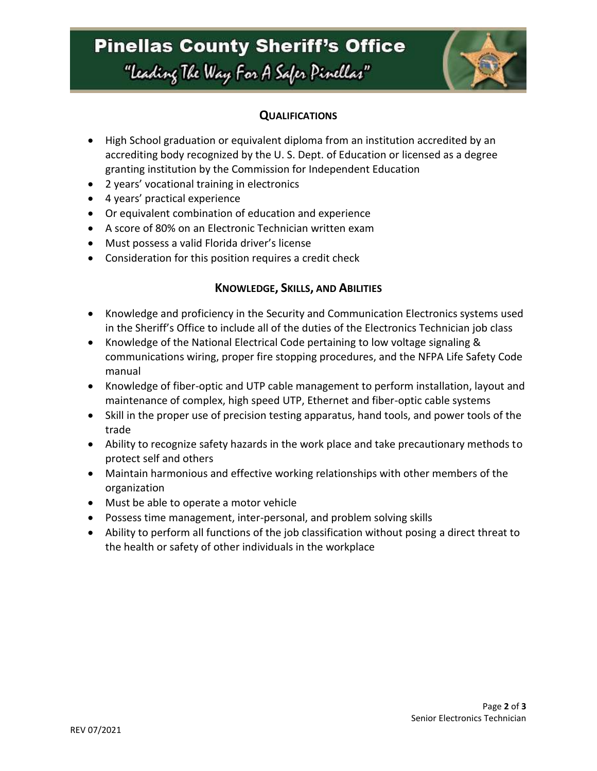# **Pinellas County Sheriff's Office** "Leading The Way For A Safer Pinellar"



### **QUALIFICATIONS**

- High School graduation or equivalent diploma from an institution accredited by an accrediting body recognized by the U. S. Dept. of Education or licensed as a degree granting institution by the Commission for Independent Education
- 2 years' vocational training in electronics
- 4 years' practical experience
- Or equivalent combination of education and experience
- A score of 80% on an Electronic Technician written exam
- Must possess a valid Florida driver's license
- Consideration for this position requires a credit check

### **KNOWLEDGE, SKILLS, AND ABILITIES**

- Knowledge and proficiency in the Security and Communication Electronics systems used in the Sheriff's Office to include all of the duties of the Electronics Technician job class
- Knowledge of the National Electrical Code pertaining to low voltage signaling & communications wiring, proper fire stopping procedures, and the NFPA Life Safety Code manual
- Knowledge of fiber-optic and UTP cable management to perform installation, layout and maintenance of complex, high speed UTP, Ethernet and fiber-optic cable systems
- Skill in the proper use of precision testing apparatus, hand tools, and power tools of the trade
- Ability to recognize safety hazards in the work place and take precautionary methods to protect self and others
- Maintain harmonious and effective working relationships with other members of the organization
- Must be able to operate a motor vehicle
- Possess time management, inter-personal, and problem solving skills
- Ability to perform all functions of the job classification without posing a direct threat to the health or safety of other individuals in the workplace